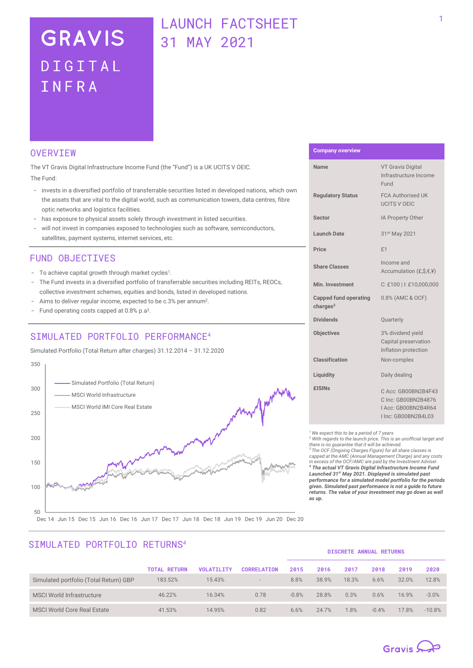# **GRAVIS** DIGITAL INFRA

## LAUNCH FACTSHEET 31 MAY 2021

### **OVERVTEW**

The VT Gravis Digital Infrastructure Income Fund (the "Fund") is a UK UCITS V OEIC. The Fund:

- invests in a diversified portfolio of transferrable securities listed in developed nations, which own the assets that are vital to the digital world, such as communication towers, data centres, fibre optic networks and logistics facilities.
- has exposure to physical assets solely through investment in listed securities.
- will not invest in companies exposed to technologies such as software, semiconductors, satellites, payment systems, internet services, etc.

### FUND OBJECTIVES

- To achieve capital growth through market cycles<sup>1</sup>.
- The Fund invests in a diversified portfolio of transferrable securities including REITs, REOCs, collective investment schemes, equities and bonds, listed in developed nations.
- Aims to deliver regular income, expected to be c.3% per annum<sup>2</sup>.
- Fund operating costs capped at 0.8% p.a<sup>3</sup>.

## STMULATED PORTFOLIO PERFORMANCE<sup>4</sup>

Simulated Portfolio (Total Return after charges) 31.12.2014 – 31.12.2020



# **Company overview**

| Name                                                 | <b>VT Gravis Digital</b><br>Infrastructure Income<br>Fund                                |
|------------------------------------------------------|------------------------------------------------------------------------------------------|
| <b>Regulatory Status</b>                             | <b>FCA Authorised UK</b><br><b>UCITS V OEIC</b>                                          |
| <b>Sector</b>                                        | IA Property Other                                                                        |
| <b>Launch Date</b>                                   | 31st May 2021                                                                            |
| Price                                                | f1                                                                                       |
| <b>Share Classes</b>                                 | Income and<br>Accumulation $(E, \hat{S}, E, \hat{Y})$                                    |
| Min. Investment                                      | C: £100   I: £10,000,000                                                                 |
| <b>Capped fund operating</b><br>charges <sup>3</sup> | 0.8% (AMC & OCF)                                                                         |
| <b>Dividends</b>                                     | Quarterly                                                                                |
| <b>Objectives</b>                                    | 3% dividend yield<br>Capital preservation<br>Inflation protection                        |
| Classification                                       | Non-complex                                                                              |
| Liquidity                                            | Daily dealing                                                                            |
| £ISINs                                               | C Acc: GB00BN2B4F43<br>C Inc: GB00BN2B4876<br>I Acc: GB00BN2B4R64<br>I Inc: GB00BN2B4L03 |

*<sup>1</sup>We expect this to be a period of 7 years*

*<sup>2</sup> With regards to the launch price. This is an unofficial target and there is no guarantee that it will be achieved. <sup>3</sup> The OCF (Ongoing Charges Figure) for all share classes is capped at the AMC (Annual Management Charge) and any costs in excess of the OCF/AMC are paid by the Investment Adviser. <sup>4</sup> The actual VT Gravis Digital Infrastructure Income Fund Launched 31st May 2021. Displayed is simulated past performance for a simulated model portfolio for the periods given. Simulated past performance is not a guide to future returns. The value of your investment may go down as well as up.* 

## STMULATED PORTFOLIO RETURNS<sup>4</sup>

| <b>DISCRETE ANNUAL RETURNS</b> |  |
|--------------------------------|--|

|                                        | <b>TOTAL RETURN</b> | <b>VOLATILITY</b> | <b>CORRELATION</b>       | 2015    | 2016  | 2017  | 2018    | 2019  | 2020     |
|----------------------------------------|---------------------|-------------------|--------------------------|---------|-------|-------|---------|-------|----------|
| Simulated portfolio (Total Return) GBP | 183.52%             | 15.43%            | $\overline{\phantom{a}}$ | 8.8%    | 38.9% | 18.3% | 6.6%    | 32.0% | 12.8%    |
| <b>MSCI World Infrastructure</b>       | 46.22%              | 16.34%            | 0.78                     | $-0.8%$ | 28.8% | 0.3%  | 0.6%    | 16.9% | $-3.0%$  |
| <b>MSCI World Core Real Estate</b>     | 41.53%              | 14.95%            | 0.82                     | 6.6%    | 24.7% | 1.8%  | $-0.4%$ | 17.8% | $-10.8%$ |

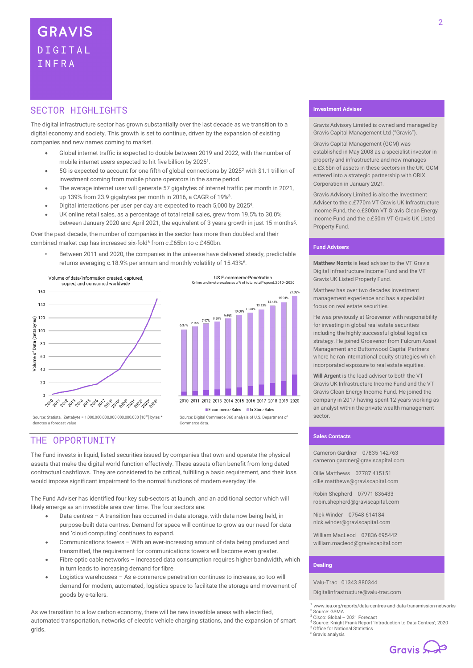## SECTOR HTGHLIGHTS

The digital infrastructure sector has grown substantially over the last decade as we transition to a digital economy and society. This growth is set to continue, driven by the expansion of existing companies and new names coming to market.

- Global internet traffic is expected to double between 2019 and 2022, with the number of mobile internet users expected to hit five billion by 2025<sup>1</sup>.
- 5G is expected to account for one fifth of global connections by 2025<sup>2</sup> with \$1.1 trillion of investment coming from mobile phone operators in the same period.
- The average internet user will generate 57 gigabytes of internet traffic per month in 2021, up 139% from 23.9 gigabytes per month in 2016, a CAGR of 19%<sup>3</sup>.
- Digital interactions per user per day are expected to reach 5,000 by 2025<sup>4</sup>.
- UK online retail sales, as a percentage of total retail sales, grew from 19.5% to 30.0% between January 2020 and April 2021, the equivalent of 3 years growth in just 15 months<sup>5</sup>.

Over the past decade, the number of companies in the sector has more than doubled and their combined market cap has increased six-fold<sup>6</sup> from c.£65bn to c.£450bn.

• Between 2011 and 2020, the companies in the universe have delivered steady, predictable returns averaging c.18.9% per annum and monthly volatility of 15.43%<sup>6</sup>.



Source: Statista. Zettabyte = 1,000,000,000,000,000,000,000 [10<sup>21</sup>] bytes \* denotes a forecast value

US E-commerce Penetration<br>store sales as a % of total retail\* spend



Source: Digital Commerce 360 analysis of U.S. Department of Commerce data.

## THE OPPORTUNITY

The Fund invests in liquid, listed securities issued by companies that own and operate the physical assets that make the digital world function effectively. These assets often benefit from long dated contractual cashflows. They are considered to be critical, fulfilling a basic requirement, and their loss would impose significant impairment to the normal functions of modern everyday life.

The Fund Adviser has identified four key sub-sectors at launch, and an additional sector which will likely emerge as an investible area over time. The four sectors are:

- Data centres A transition has occurred in data storage, with data now being held, in purpose-built data centres. Demand for space will continue to grow as our need for data and 'cloud computing' continues to expand.
- Communications towers With an ever-increasing amount of data being produced and transmitted, the requirement for communications towers will become even greater.
- Fibre optic cable networks Increased data consumption requires higher bandwidth, which in turn leads to increasing demand for fibre.
- Logistics warehouses As e-commerce penetration continues to increase, so too will demand for modern, automated, logistics space to facilitate the storage and movement of goods by e-tailers.

As we transition to a low carbon economy, there will be new investible areas with electrified, automated transportation, networks of electric vehicle charging stations, and the expansion of smart grids.

#### **Investment Adviser**

Gravis Advisory Limited is owned and managed by Gravis Capital Management Ltd ("Gravis").

Gravis Capital Management (GCM) was established in May 2008 as a specialist investor in property and infrastructure and now manages c.£3.6bn of assets in these sectors in the UK. GCM entered into a strategic partnership with ORIX Corporation in January 2021.

Gravis Advisory Limited is also the Investment Adviser to the c.£770m VT Gravis UK Infrastructure Income Fund, the c.£300m VT Gravis Clean Energy Income Fund and the c.£50m VT Gravis UK Listed Property Fund.

#### **Fund Advisers**

**Matthew Norris** is lead adviser to the VT Gravis Digital Infrastructure Income Fund and the VT Gravis UK Listed Property Fund.

Matthew has over two decades investment management experience and has a specialist focus on real estate securities.

He was previously at Grosvenor with responsibility for investing in global real estate securities including the highly successful global logistics strategy. He joined Grosvenor from Fulcrum Asset Management and Buttonwood Capital Partners where he ran international equity strategies which incorporated exposure to real estate equities.

**Will Argent** is the lead adviser to both the VT Gravis UK Infrastructure Income Fund and the VT Gravis Clean Energy Income Fund. He joined the company in 2017 having spent 12 years working as an analyst within the private wealth management sector.

#### **Sales Contacts**

Cameron Gardner 07835 142763 cameron.gardner@graviscapital.com

Ollie Matthews 07787 415151 [ollie.matthews@graviscapital.com](mailto:ollie.matthews@graviscapital.com)

Robin Shepherd 07971 836433 [robin.shepherd@graviscapital.com](mailto:robin.shepherd@graviscapital.com)

Nick Winder [07548 614184](tel:07548%20614184) nick.winder@graviscapital.com

William MacLeod 07836 695442 [william.macleod@graviscapital.com](mailto:william.macleod@graviscapital.com)

#### **Dealing**

Valu‑Trac 01343 880344

Digitalinfrastructure@valu-trac.com

<sup>1</sup>www.iea.org/reports/data-centres-and-data-transmission-networks <sup>2</sup> Source: GSMA

- Cisco: Global 2021 Forecast
- <sup>4</sup> Source: Knight Frank Report 'Introduction to Data Centres'; 2020 **Office for National Statistics**
- <sup>6</sup> Gravis analysis

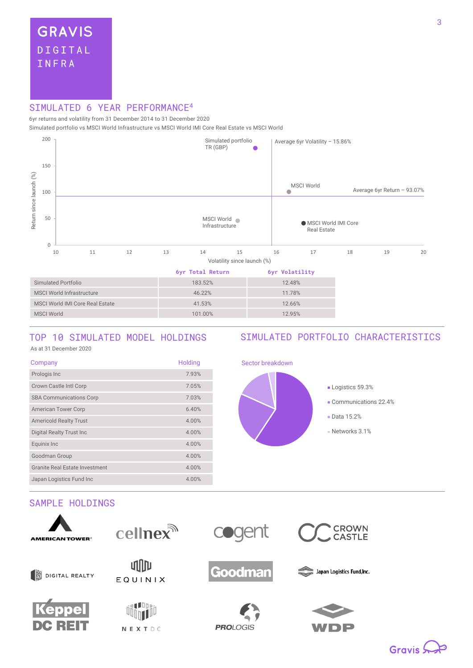## SIMULATED 6 YEAR PERFORMANCE<sup>4</sup>

6yr returns and volatility from 31 December 2014 to 31 December 2020

Simulated portfolio vs MSCI World Infrastructure vs MSCI World IMI Core Real Estate vs MSCI World



## TOP 10 SIMULATED MODEL HOLDINGS

## SIMULATED PORTFOLIO CHARACTERISTICS

As at 31 December <sup>2020</sup>

| Company                               | Holding |
|---------------------------------------|---------|
| Prologis Inc                          | 7.93%   |
| Crown Castle Intl Corp                | 7.05%   |
| <b>SBA Communications Corp</b>        | 7.03%   |
| <b>American Tower Corp</b>            | 6.40%   |
| <b>Americold Realty Trust</b>         | 4.00%   |
| <b>Digital Realty Trust Inc.</b>      | 4.00%   |
| Equinix Inc                           | 4.00%   |
| Goodman Group                         | 4.00%   |
| <b>Granite Real Estate Investment</b> | 4.00%   |
| Japan Logistics Fund Inc              | 4.00%   |

## **Logistics 59.3%** Communications 22.4% Data 15.2% Networks 3.1%

Sector breakdown

## SAMPLE HOLDINGS











**PROLOGIS** 



Japan Logistics Fund, Inc.

**CROWN<br>CASTLE**